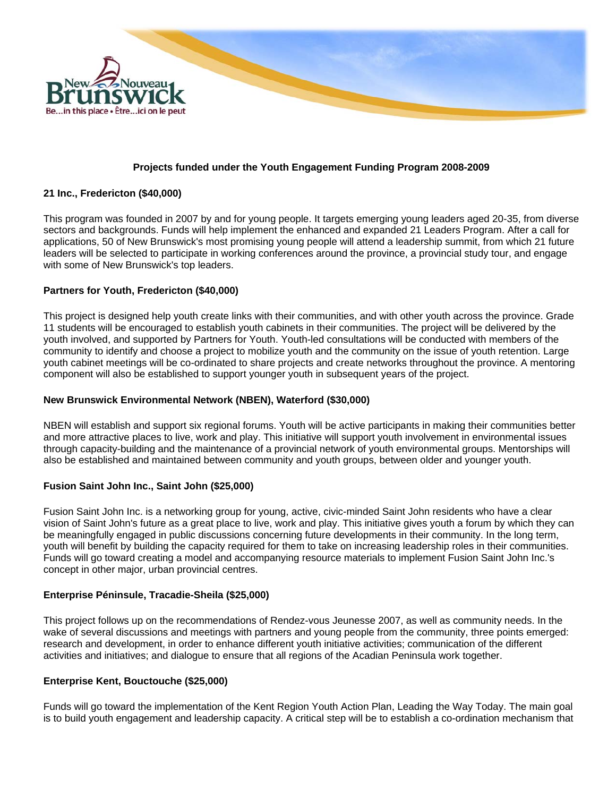

### **Projects funded under the Youth Engagement Funding Program 2008-2009**

### **21 Inc., Fredericton (\$40,000)**

This program was founded in 2007 by and for young people. It targets emerging young leaders aged 20-35, from diverse sectors and backgrounds. Funds will help implement the enhanced and expanded 21 Leaders Program. After a call for applications, 50 of New Brunswick's most promising young people will attend a leadership summit, from which 21 future leaders will be selected to participate in working conferences around the province, a provincial study tour, and engage with some of New Brunswick's top leaders.

### **Partners for Youth, Fredericton (\$40,000)**

This project is designed help youth create links with their communities, and with other youth across the province. Grade 11 students will be encouraged to establish youth cabinets in their communities. The project will be delivered by the youth involved, and supported by Partners for Youth. Youth-led consultations will be conducted with members of the community to identify and choose a project to mobilize youth and the community on the issue of youth retention. Large youth cabinet meetings will be co-ordinated to share projects and create networks throughout the province. A mentoring component will also be established to support younger youth in subsequent years of the project.

#### **New Brunswick Environmental Network (NBEN), Waterford (\$30,000)**

NBEN will establish and support six regional forums. Youth will be active participants in making their communities better and more attractive places to live, work and play. This initiative will support youth involvement in environmental issues through capacity-building and the maintenance of a provincial network of youth environmental groups. Mentorships will also be established and maintained between community and youth groups, between older and younger youth.

#### **Fusion Saint John Inc., Saint John (\$25,000)**

Fusion Saint John Inc. is a networking group for young, active, civic-minded Saint John residents who have a clear vision of Saint John's future as a great place to live, work and play. This initiative gives youth a forum by which they can be meaningfully engaged in public discussions concerning future developments in their community. In the long term, youth will benefit by building the capacity required for them to take on increasing leadership roles in their communities. Funds will go toward creating a model and accompanying resource materials to implement Fusion Saint John Inc.'s concept in other major, urban provincial centres.

#### **Enterprise Péninsule, Tracadie-Sheila (\$25,000)**

This project follows up on the recommendations of Rendez-vous Jeunesse 2007, as well as community needs. In the wake of several discussions and meetings with partners and young people from the community, three points emerged: research and development, in order to enhance different youth initiative activities; communication of the different activities and initiatives; and dialogue to ensure that all regions of the Acadian Peninsula work together.

#### **Enterprise Kent, Bouctouche (\$25,000)**

Funds will go toward the implementation of the Kent Region Youth Action Plan, Leading the Way Today. The main goal is to build youth engagement and leadership capacity. A critical step will be to establish a co-ordination mechanism that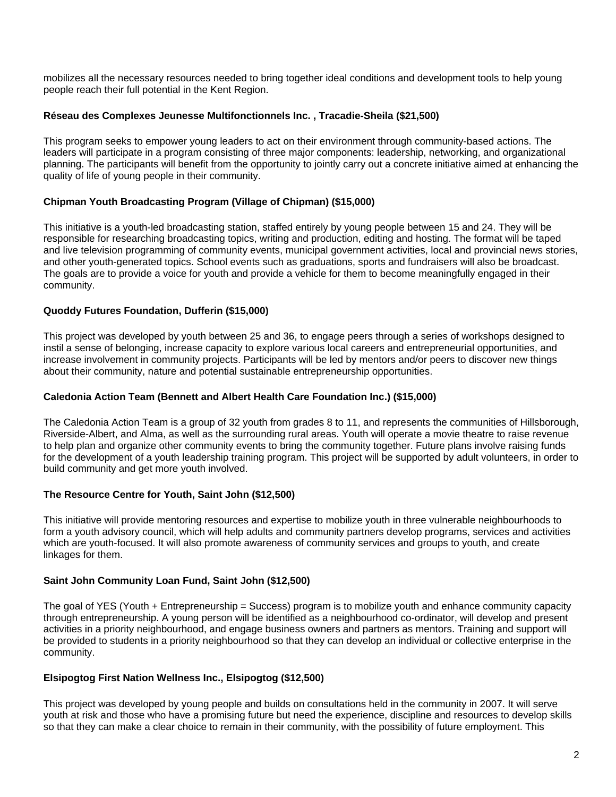mobilizes all the necessary resources needed to bring together ideal conditions and development tools to help young people reach their full potential in the Kent Region.

# **Réseau des Complexes Jeunesse Multifonctionnels Inc. , Tracadie-Sheila (\$21,500)**

This program seeks to empower young leaders to act on their environment through community-based actions. The leaders will participate in a program consisting of three major components: leadership, networking, and organizational planning. The participants will benefit from the opportunity to jointly carry out a concrete initiative aimed at enhancing the quality of life of young people in their community.

# **Chipman Youth Broadcasting Program (Village of Chipman) (\$15,000)**

This initiative is a youth-led broadcasting station, staffed entirely by young people between 15 and 24. They will be responsible for researching broadcasting topics, writing and production, editing and hosting. The format will be taped and live television programming of community events, municipal government activities, local and provincial news stories, and other youth-generated topics. School events such as graduations, sports and fundraisers will also be broadcast. The goals are to provide a voice for youth and provide a vehicle for them to become meaningfully engaged in their community.

# **Quoddy Futures Foundation, Dufferin (\$15,000)**

This project was developed by youth between 25 and 36, to engage peers through a series of workshops designed to instil a sense of belonging, increase capacity to explore various local careers and entrepreneurial opportunities, and increase involvement in community projects. Participants will be led by mentors and/or peers to discover new things about their community, nature and potential sustainable entrepreneurship opportunities.

# **Caledonia Action Team (Bennett and Albert Health Care Foundation Inc.) (\$15,000)**

The Caledonia Action Team is a group of 32 youth from grades 8 to 11, and represents the communities of Hillsborough, Riverside-Albert, and Alma, as well as the surrounding rural areas. Youth will operate a movie theatre to raise revenue to help plan and organize other community events to bring the community together. Future plans involve raising funds for the development of a youth leadership training program. This project will be supported by adult volunteers, in order to build community and get more youth involved.

# **The Resource Centre for Youth, Saint John (\$12,500)**

This initiative will provide mentoring resources and expertise to mobilize youth in three vulnerable neighbourhoods to form a youth advisory council, which will help adults and community partners develop programs, services and activities which are youth-focused. It will also promote awareness of community services and groups to youth, and create linkages for them.

# **Saint John Community Loan Fund, Saint John (\$12,500)**

The goal of YES (Youth + Entrepreneurship = Success) program is to mobilize youth and enhance community capacity through entrepreneurship. A young person will be identified as a neighbourhood co-ordinator, will develop and present activities in a priority neighbourhood, and engage business owners and partners as mentors. Training and support will be provided to students in a priority neighbourhood so that they can develop an individual or collective enterprise in the community.

# **Elsipogtog First Nation Wellness Inc., Elsipogtog (\$12,500)**

This project was developed by young people and builds on consultations held in the community in 2007. It will serve youth at risk and those who have a promising future but need the experience, discipline and resources to develop skills so that they can make a clear choice to remain in their community, with the possibility of future employment. This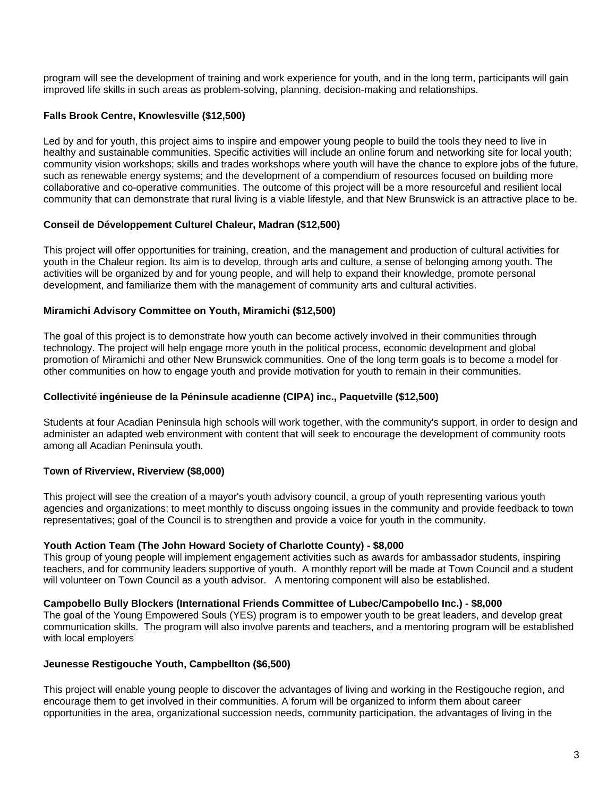program will see the development of training and work experience for youth, and in the long term, participants will gain improved life skills in such areas as problem-solving, planning, decision-making and relationships.

# **Falls Brook Centre, Knowlesville (\$12,500)**

Led by and for youth, this project aims to inspire and empower young people to build the tools they need to live in healthy and sustainable communities. Specific activities will include an online forum and networking site for local youth; community vision workshops; skills and trades workshops where youth will have the chance to explore jobs of the future, such as renewable energy systems; and the development of a compendium of resources focused on building more collaborative and co-operative communities. The outcome of this project will be a more resourceful and resilient local community that can demonstrate that rural living is a viable lifestyle, and that New Brunswick is an attractive place to be.

### **Conseil de Développement Culturel Chaleur, Madran (\$12,500)**

This project will offer opportunities for training, creation, and the management and production of cultural activities for youth in the Chaleur region. Its aim is to develop, through arts and culture, a sense of belonging among youth. The activities will be organized by and for young people, and will help to expand their knowledge, promote personal development, and familiarize them with the management of community arts and cultural activities.

# **Miramichi Advisory Committee on Youth, Miramichi (\$12,500)**

The goal of this project is to demonstrate how youth can become actively involved in their communities through technology. The project will help engage more youth in the political process, economic development and global promotion of Miramichi and other New Brunswick communities. One of the long term goals is to become a model for other communities on how to engage youth and provide motivation for youth to remain in their communities.

### **Collectivité ingénieuse de la Péninsule acadienne (CIPA) inc., Paquetville (\$12,500)**

Students at four Acadian Peninsula high schools will work together, with the community's support, in order to design and administer an adapted web environment with content that will seek to encourage the development of community roots among all Acadian Peninsula youth.

# **Town of Riverview, Riverview (\$8,000)**

This project will see the creation of a mayor's youth advisory council, a group of youth representing various youth agencies and organizations; to meet monthly to discuss ongoing issues in the community and provide feedback to town representatives; goal of the Council is to strengthen and provide a voice for youth in the community.

#### **Youth Action Team (The John Howard Society of Charlotte County) - \$8,000**

This group of young people will implement engagement activities such as awards for ambassador students, inspiring teachers, and for community leaders supportive of youth. A monthly report will be made at Town Council and a student will volunteer on Town Council as a youth advisor. A mentoring component will also be established.

#### **Campobello Bully Blockers (International Friends Committee of Lubec/Campobello Inc.) - \$8,000**

The goal of the Young Empowered Souls (YES) program is to empower youth to be great leaders, and develop great communication skills. The program will also involve parents and teachers, and a mentoring program will be established with local employers

# **Jeunesse Restigouche Youth, Campbellton (\$6,500)**

This project will enable young people to discover the advantages of living and working in the Restigouche region, and encourage them to get involved in their communities. A forum will be organized to inform them about career opportunities in the area, organizational succession needs, community participation, the advantages of living in the